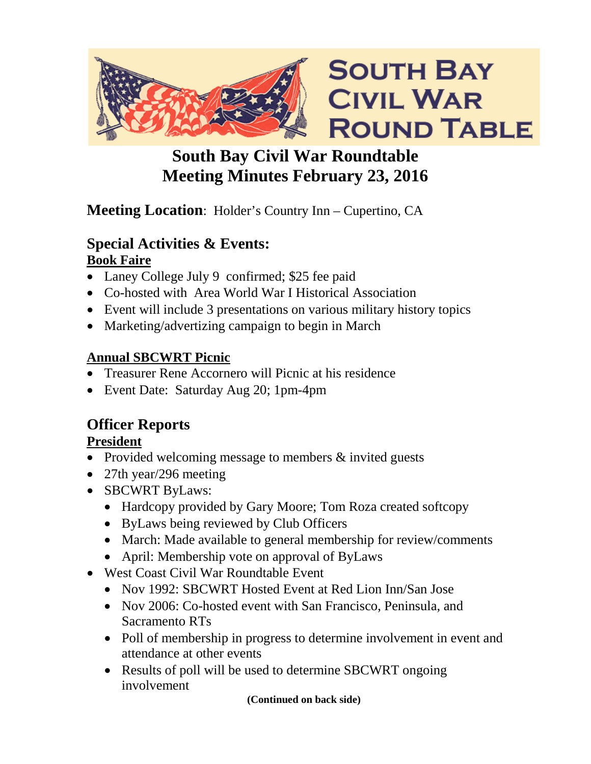

# **South Bay Civil War Roundtable Meeting Minutes February 23, 2016**

## **Meeting Location**: Holder's Country Inn – Cupertino, CA

### **Special Activities & Events: Book Faire**

- Laney College July 9 confirmed; \$25 fee paid
- Co-hosted with Area World War I Historical Association
- Event will include 3 presentations on various military history topics
- Marketing/advertizing campaign to begin in March

### **Annual SBCWRT Picnic**

- Treasurer Rene Accornero will Picnic at his residence
- Event Date: Saturday Aug 20; 1pm-4pm

# **Officer Reports**

## **President**

- Provided welcoming message to members & invited guests
- 27th year/296 meeting
- SBCWRT ByLaws:
	- Hardcopy provided by Gary Moore; Tom Roza created softcopy
	- ByLaws being reviewed by Club Officers
	- March: Made available to general membership for review/comments
	- April: Membership vote on approval of ByLaws
- West Coast Civil War Roundtable Event
	- Nov 1992: SBCWRT Hosted Event at Red Lion Inn/San Jose
	- Nov 2006: Co-hosted event with San Francisco, Peninsula, and Sacramento RTs
	- Poll of membership in progress to determine involvement in event and attendance at other events
	- Results of poll will be used to determine SBCWRT ongoing involvement

**(Continued on back side)**